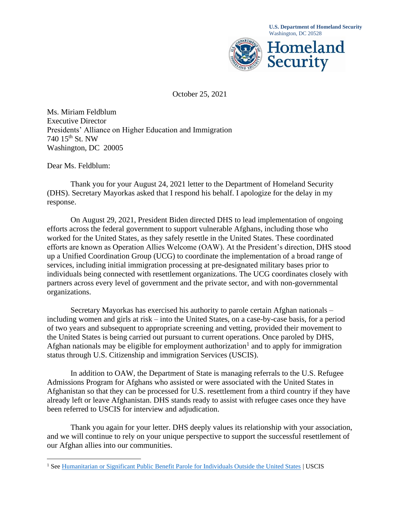

October 25, 2021

Ms. Miriam Feldblum Executive Director Presidents' Alliance on Higher Education and Immigration 740 15th St. NW Washington, DC 20005

Dear Ms. Feldblum:

Thank you for your August 24, 2021 letter to the Department of Homeland Security (DHS). Secretary Mayorkas asked that I respond his behalf. I apologize for the delay in my response.

On August 29, 2021, President Biden directed DHS to lead implementation of ongoing efforts across the federal government to support vulnerable Afghans, including those who worked for the United States, as they safely resettle in the United States. These coordinated efforts are known as Operation Allies Welcome (OAW). At the President's direction, DHS stood up a Unified Coordination Group (UCG) to coordinate the implementation of a broad range of services, including initial immigration processing at pre-designated military bases prior to individuals being connected with resettlement organizations. The UCG coordinates closely with partners across every level of government and the private sector, and with non-governmental organizations.

Secretary Mayorkas has exercised his authority to parole certain Afghan nationals – including women and girls at risk – into the United States, on a case-by-case basis, for a period of two years and subsequent to appropriate screening and vetting, provided their movement to the United States is being carried out pursuant to current operations. Once paroled by DHS, Afghan nationals may be eligible for employment authorization<sup>1</sup> and to apply for immigration status through U.S. Citizenship and immigration Services (USCIS).

In addition to OAW, the Department of State is managing referrals to the U.S. Refugee Admissions Program for Afghans who assisted or were associated with the United States in Afghanistan so that they can be processed for U.S. resettlement from a third country if they have already left or leave Afghanistan. DHS stands ready to assist with refugee cases once they have been referred to USCIS for interview and adjudication.

Thank you again for your letter. DHS deeply values its relationship with your association, and we will continue to rely on your unique perspective to support the successful resettlement of our Afghan allies into our communities.

<sup>&</sup>lt;sup>1</sup> Se[e Humanitarian or Significant Public Benefit Parole for Individuals Outside the United States](https://www.uscis.gov/humanitarian/humanitarian-or-significant-public-benefit-parole-for-individuals-outside-the-united-states) | USCIS